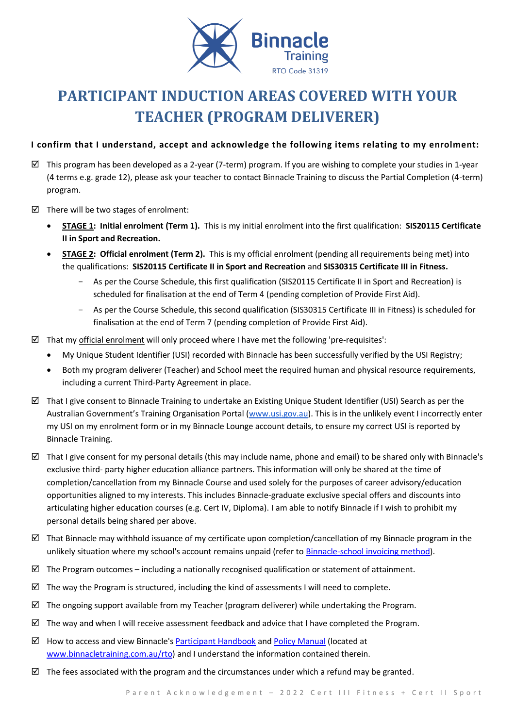

# **PARTICIPANT INDUCTION AREAS COVERED WITH YOUR TEACHER (PROGRAM DELIVERER)**

# **I confirm that I understand, accept and acknowledge the following items relating to my enrolment:**

- $\boxtimes$  This program has been developed as a 2-year (7-term) program. If you are wishing to complete your studies in 1-year (4 terms e.g. grade 12), please ask your teacher to contact Binnacle Training to discuss the Partial Completion (4-term) program.
- $\boxtimes$  There will be two stages of enrolment:
	- **STAGE 1: Initial enrolment (Term 1).** This is my initial enrolment into the first qualification: **SIS20115 Certificate II in Sport and Recreation.**
	- **STAGE 2: Official enrolment (Term 2).** This is my official enrolment (pending all requirements being met) into the qualifications: **SIS20115 Certificate II in Sport and Recreation** and **SIS30315 Certificate III in Fitness.**
		- As per the Course Schedule, this first qualification (SIS20115 Certificate II in Sport and Recreation) is scheduled for finalisation at the end of Term 4 (pending completion of Provide First Aid).
		- As per the Course Schedule, this second qualification (SIS30315 Certificate III in Fitness) is scheduled for finalisation at the end of Term 7 (pending completion of Provide First Aid).
- $\boxtimes$  That my official enrolment will only proceed where I have met the following 'pre-requisites':
	- My Unique Student Identifier (USI) recorded with Binnacle has been successfully verified by the USI Registry;
	- Both my program deliverer (Teacher) and School meet the required human and physical resource requirements, including a current Third-Party Agreement in place.
- $\boxtimes$  That I give consent to Binnacle Training to undertake an Existing Unique Student Identifier (USI) Search as per the Australian Government's Training Organisation Portal ([www.usi.gov.au\)](http://www.usi.gov.au/). This is in the unlikely event I incorrectly enter my USI on my enrolment form or in my Binnacle Lounge account details, to ensure my correct USI is reported by Binnacle Training.
- $\boxtimes$  That I give consent for my personal details (this may include name, phone and email) to be shared only with Binnacle's exclusive third- party higher education alliance partners. This information will only be shared at the time of completion/cancellation from my Binnacle Course and used solely for the purposes of career advisory/education opportunities aligned to my interests. This includes Binnacle-graduate exclusive special offers and discounts into articulating higher education courses (e.g. Cert IV, Diploma). I am able to notify Binnacle if I wish to prohibit my personal details being shared per above.
- $\boxtimes$  That Binnacle may withhold issuance of my certificate upon completion/cancellation of my Binnacle program in the unlikely situation where my school's account remains unpaid (refer t[o Binnacle-school invoicing method\)](http://www.binnacletraining.com.au/services-pricing.php).
- $\boxtimes$  The Program outcomes including a nationally recognised qualification or statement of attainment.
- $\boxtimes$  The way the Program is structured, including the kind of assessments I will need to complete.
- $\boxtimes$  The ongoing support available from my Teacher (program deliverer) while undertaking the Program.
- $\boxtimes$  The way and when I will receive assessment feedback and advice that I have completed the Program.
- $\boxtimes$  How to access and view Binnacle's [Participant Handbook](http://www.binnacletraining.com.au/rto.php) an[d Policy Manual](http://www.binnacletraining.com.au/rto.php) (located at [www.binnacletraining.com.au/rto\)](http://www.binnacletraining.com.au/rto) and I understand the information contained therein.
- $\boxtimes$  The fees associated with the program and the circumstances under which a refund may be granted.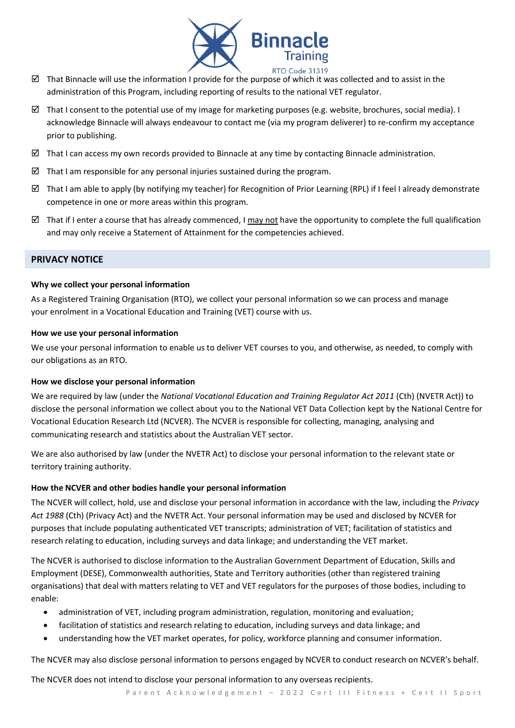

- That Binnacle will use the information I provide for the purpose of which it was collected and to assist in the administration of this Program, including reporting of results to the national VET regulator.
- $\boxtimes$  That I consent to the potential use of my image for marketing purposes (e.g. website, brochures, social media). I acknowledge Binnacle will always endeavour to contact me (via my program deliverer) to re-confirm my acceptance prior to publishing.
- $\boxtimes$  That I can access my own records provided to Binnacle at any time by contacting Binnacle administration.
- $\boxtimes$  That I am responsible for any personal injuries sustained during the program.
- $\boxtimes$  That I am able to apply (by notifying my teacher) for Recognition of Prior Learning (RPL) if I feel I already demonstrate competence in one or more areas within this program.
- That if I enter a course that has already commenced, I may not have the opportunity to complete the full qualification and may only receive a Statement of Attainment for the competencies achieved.

## **PRIVACY NOTICE**

#### **Why we collect your personal information**

As a Registered Training Organisation (RTO), we collect your personal information so we can process and manage your enrolment in a Vocational Education and Training (VET) course with us.

#### **How we use your personal information**

We use your personal information to enable us to deliver VET courses to you, and otherwise, as needed, to comply with our obligations as an RTO.

#### **How we disclose your personal information**

We are required by law (under the *National Vocational Education and Training Regulator Act 2011* (Cth) (NVETR Act)) to disclose the personal information we collect about you to the National VET Data Collection kept by the National Centre for Vocational Education Research Ltd (NCVER). The NCVER is responsible for collecting, managing, analysing and communicating research and statistics about the Australian VET sector.

We are also authorised by law (under the NVETR Act) to disclose your personal information to the relevant state or territory training authority.

## **How the NCVER and other bodies handle your personal information**

The NCVER will collect, hold, use and disclose your personal information in accordance with the law, including the *Privacy Act 1988* (Cth) (Privacy Act) and the NVETR Act. Your personal information may be used and disclosed by NCVER for purposes that include populating authenticated VET transcripts; administration of VET; facilitation of statistics and research relating to education, including surveys and data linkage; and understanding the VET market.

The NCVER is authorised to disclose information to the Australian Government Department of Education, Skills and Employment (DESE), Commonwealth authorities, State and Territory authorities (other than registered training organisations) that deal with matters relating to VET and VET regulators for the purposes of those bodies, including to enable:

- administration of VET, including program administration, regulation, monitoring and evaluation;
- facilitation of statistics and research relating to education, including surveys and data linkage; and
- understanding how the VET market operates, for policy, workforce planning and consumer information.

The NCVER may also disclose personal information to persons engaged by NCVER to conduct research on NCVER's behalf.

The NCVER does not intend to disclose your personal information to any overseas recipients.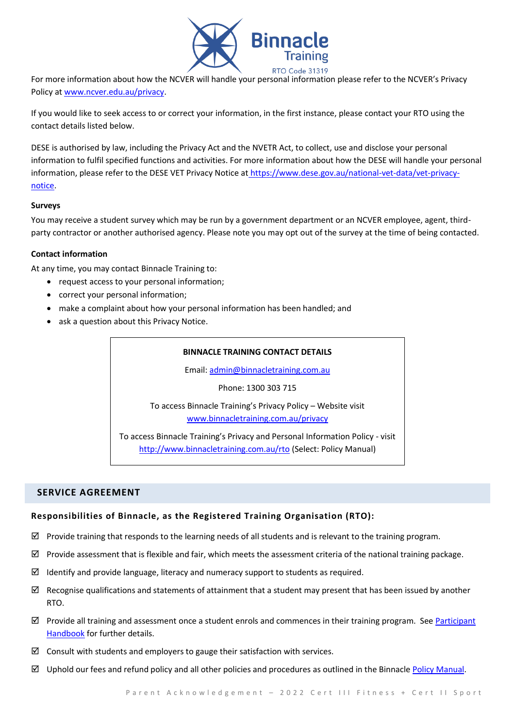

For more information about how the NCVER will handle your personal information please refer to the NCVER's Privacy Policy at [www.ncver.edu.au/privacy.](http://www.ncver.edu.au/privacy)

If you would like to seek access to or correct your information, in the first instance, please contact your RTO using the contact details listed below.

DESE is authorised by law, including the Privacy Act and the NVETR Act, to collect, use and disclose your personal information to fulfil specified functions and activities. For more information about how the DESE will handle your personal information, please refer to the DESE VET Privacy Notice at [https://www.dese.gov.au/national-vet-data/vet-privacy](https://www.dese.gov.au/national-vet-data/vet-privacy-notice)[notice.](https://www.dese.gov.au/national-vet-data/vet-privacy-notice)

## **Surveys**

You may receive a student survey which may be run by a government department or an NCVER employee, agent, thirdparty contractor or another authorised agency. Please note you may opt out of the survey at the time of being contacted.

## **Contact information**

At any time, you may contact Binnacle Training to:

- request access to your personal information;
- correct your personal information;
- make a complaint about how your personal information has been handled; and
- ask a question about this Privacy Notice.

#### **BINNACLE TRAINING CONTACT DETAILS**

Email: [admin@binnacletraining.com.au](mailto:admin@binnacletraining.com.au)

Phone: 1300 303 715

To access Binnacle Training's Privacy Policy – Website visit [www.binnacletraining.com.au/privacy](http://www.binnacletraining.com.au/privacy)

To access Binnacle Training's Privacy and Personal Information Policy - visit <http://www.binnacletraining.com.au/rto> (Select: Policy Manual)

# **SERVICE AGREEMENT**

# **Responsibilities of Binnacle, as the Registered Training Organisation (RTO):**

- $\boxtimes$  Provide training that responds to the learning needs of all students and is relevant to the training program.
- $\boxtimes$  Provide assessment that is flexible and fair, which meets the assessment criteria of the national training package.
- $\boxtimes$  Identify and provide language, literacy and numeracy support to students as required.
- $\boxtimes$  Recognise qualifications and statements of attainment that a student may present that has been issued by another RTO.
- $\boxtimes$  Provide all training and assessment once a student enrols and commences in their training program. See Participant [Handbook](http://www.binnacletraining.com.au/rto.php) for further details.
- $\boxtimes$  Consult with students and employers to gauge their satisfaction with services.
- $\boxtimes$  Uphold our fees and refund policy and all other policies and procedures as outlined in the Binnacle [Policy Manual.](http://www.binnacletraining.com.au/rto.php)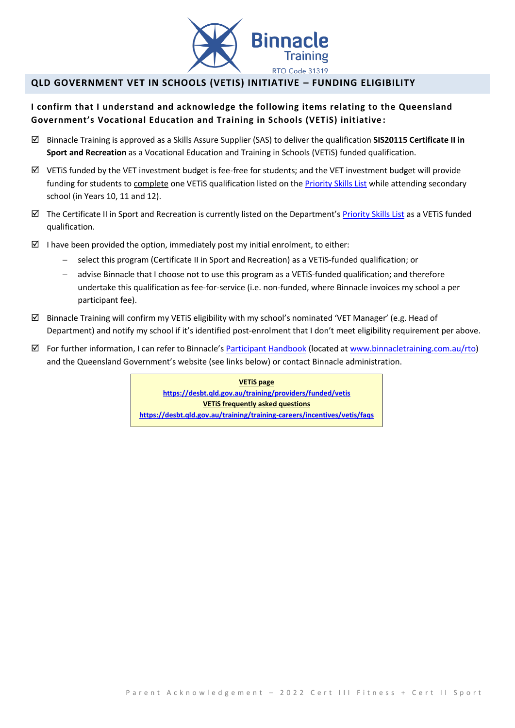

# **QLD GOVERNMENT VET IN SCHOOLS (VETIS) INITIATIVE – FUNDING ELIGIBILITY**

# **I confirm that I understand and acknowledge the following items relating to the Queensland Government's Vocational Education and Training in Schools (VETiS) initiative :**

- Binnacle Training is approved as a Skills Assure Supplier (SAS) to deliver the qualification **SIS20115 Certificate II in Sport and Recreation** as a Vocational Education and Training in Schools (VETiS) funded qualification.
- $\boxtimes$  VETiS funded by the VET investment budget is fee-free for students; and the VET investment budget will provide funding for students to complete one VETIS qualification listed on the **Priority Skills List** while attending secondary school (in Years 10, 11 and 12).
- $\boxtimes$  The Certificate II in Sport and Recreation is currently listed on the Department's [Priority Skills List](https://desbt.qld.gov.au/training/docs-data/strategies/vetinvest/subsidieslist) as a VETiS funded qualification.
- I have been provided the option, immediately post my initial enrolment, to either:
	- − select this program (Certificate II in Sport and Recreation) as a VETiS-funded qualification; or
	- advise Binnacle that I choose not to use this program as a VETiS-funded qualification; and therefore undertake this qualification as fee-for-service (i.e. non-funded, where Binnacle invoices my school a per participant fee).
- $\boxtimes$  Binnacle Training will confirm my VETiS eligibility with my school's nominated 'VET Manager' (e.g. Head of Department) and notify my school if it's identified post-enrolment that I don't meet eligibility requirement per above.
- $\boxtimes$  For further information, I can refer to Binnacle's [Participant Handbook](http://www.binnacletraining.com.au/rto.php) (located a[t www.binnacletraining.com.au/rto\)](http://www.binnacletraining.com.au/rto) and the Queensland Government's website (see links below) or contact Binnacle administration.

**VETiS page <https://desbt.qld.gov.au/training/providers/funded/vetis> VETiS frequently asked questions https://desbt.qld.gov.au/training/training-careers/incentives/vetis/faqs**